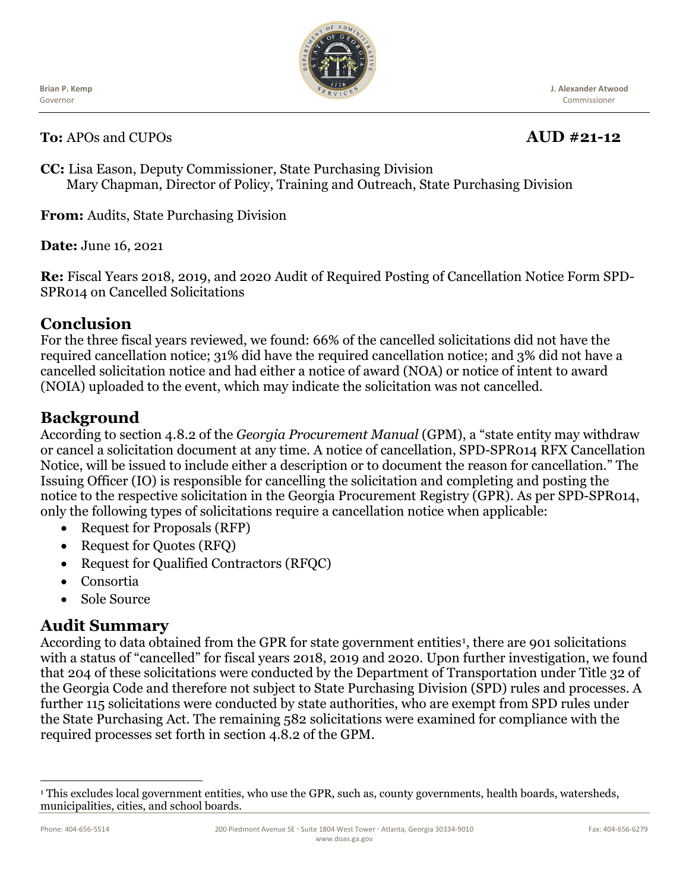Governor **Brian P. Kemp**



**J. Alexander Atwood** Commissioner

**To:** APOs and CUPOs **AUD #21-12**

**CC:** Lisa Eason, Deputy Commissioner, State Purchasing Division Mary Chapman, Director of Policy, Training and Outreach, State Purchasing Division

**From:** Audits, State Purchasing Division

**Date:** June 16, 2021

**Re:** Fiscal Years 2018, 2019, and 2020 Audit of Required Posting of Cancellation Notice Form SPD-SPR014 on Cancelled Solicitations

## **Conclusion**

For the three fiscal years reviewed, we found: 66% of the cancelled solicitations did not have the required cancellation notice; 31% did have the required cancellation notice; and 3% did not have a cancelled solicitation notice and had either a notice of award (NOA) or notice of intent to award (NOIA) uploaded to the event, which may indicate the solicitation was not cancelled.

# **Background**

According to section 4.8.2 of the *Georgia Procurement Manual* (GPM), a "state entity may withdraw or cancel a solicitation document at any time. A notice of cancellation, SPD-SPR014 RFX Cancellation Notice, will be issued to include either a description or to document the reason for cancellation." The Issuing Officer (IO) is responsible for cancelling the solicitation and completing and posting the notice to the respective solicitation in the Georgia Procurement Registry (GPR). As per SPD-SPR014, only the following types of solicitations require a cancellation notice when applicable:

- Request for Proposals (RFP)
- Request for Quotes (RFQ)
- Request for Qualified Contractors (RFOC)
- Consortia
- Sole Source

## **Audit Summary**

According to data obtained from the GPR for state government entities<sup>[1](#page-0-0)</sup>, there are 901 solicitations with a status of "cancelled" for fiscal years 2018, 2019 and 2020. Upon further investigation, we found that 204 of these solicitations were conducted by the Department of Transportation under Title 32 of the Georgia Code and therefore not subject to State Purchasing Division (SPD) rules and processes. A further 115 solicitations were conducted by state authorities, who are exempt from SPD rules under the State Purchasing Act. The remaining 582 solicitations were examined for compliance with the required processes set forth in section 4.8.2 of the GPM.

<span id="page-0-0"></span><sup>&</sup>lt;sup>1</sup> This excludes local government entities, who use the GPR, such as, county governments, health boards, watersheds, municipalities, cities, and school boards.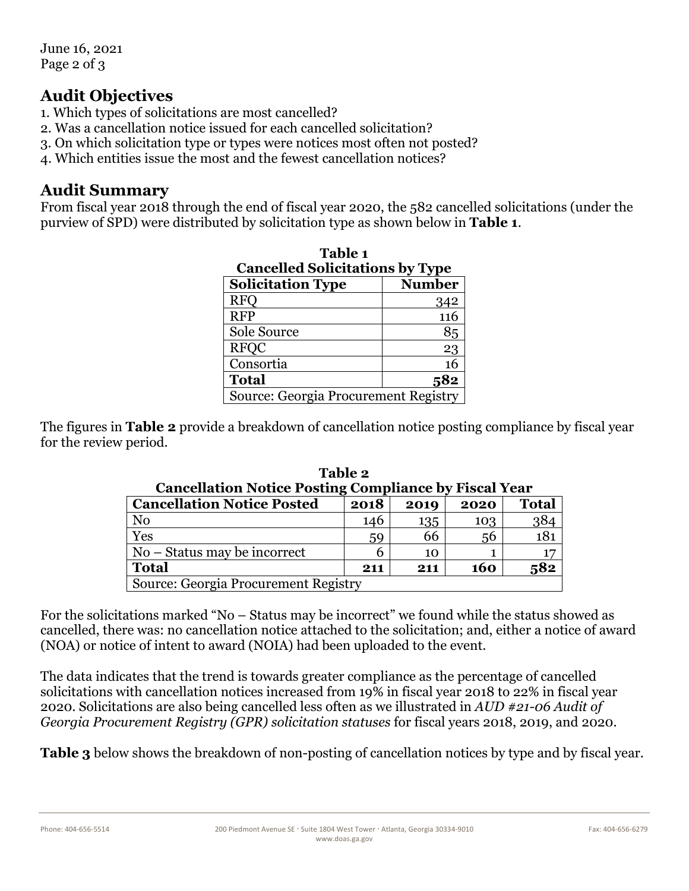June 16, 2021 Page 2 of 3

#### **Audit Objectives**

- 1. Which types of solicitations are most cancelled?
- 2. Was a cancellation notice issued for each cancelled solicitation?
- 3. On which solicitation type or types were notices most often not posted?
- 4. Which entities issue the most and the fewest cancellation notices?

#### **Audit Summary**

From fiscal year 2018 through the end of fiscal year 2020, the 582 cancelled solicitations (under the purview of SPD) were distributed by solicitation type as shown below in **Table 1**.

| Table 1<br><b>Cancelled Solicitations by Type</b> |        |  |  |  |
|---------------------------------------------------|--------|--|--|--|
| <b>Solicitation Type</b>                          | Number |  |  |  |
| <b>RFO</b>                                        | 342    |  |  |  |
| <b>RFP</b>                                        | 116    |  |  |  |
| Sole Source                                       | 85     |  |  |  |
| <b>RFQC</b>                                       | 23     |  |  |  |
| Consortia                                         | 16     |  |  |  |
| <b>Total</b>                                      | 582    |  |  |  |
| Source: Georgia Procurement Registry              |        |  |  |  |

The figures in **Table 2** provide a breakdown of cancellation notice posting compliance by fiscal year for the review period.

| Cancellation Notice Posting Compliance by Fiscal Year |      |      |      |              |  |  |
|-------------------------------------------------------|------|------|------|--------------|--|--|
| <b>Cancellation Notice Posted</b>                     | 2018 | 2019 | 2020 | <b>Total</b> |  |  |
| N <sub>0</sub>                                        | 146  | 135  | 103  | 384          |  |  |
| Yes                                                   | 59   | 66   | 56   | 181          |  |  |
| No – Status may be incorrect                          |      | 10   |      |              |  |  |
| <b>Total</b>                                          | 211  | 211  | 160  | 582          |  |  |
| Source: Georgia Procurement Registry                  |      |      |      |              |  |  |

**Table 2 Cancellation Notice Posting Compliance by Fiscal Year**

For the solicitations marked "No – Status may be incorrect" we found while the status showed as cancelled, there was: no cancellation notice attached to the solicitation; and, either a notice of award (NOA) or notice of intent to award (NOIA) had been uploaded to the event.

The data indicates that the trend is towards greater compliance as the percentage of cancelled solicitations with cancellation notices increased from 19% in fiscal year 2018 to 22% in fiscal year 2020. Solicitations are also being cancelled less often as we illustrated in *AUD #21-06 Audit of Georgia Procurement Registry (GPR) solicitation statuses* for fiscal years 2018, 2019, and 2020.

**Table 3** below shows the breakdown of non-posting of cancellation notices by type and by fiscal year.